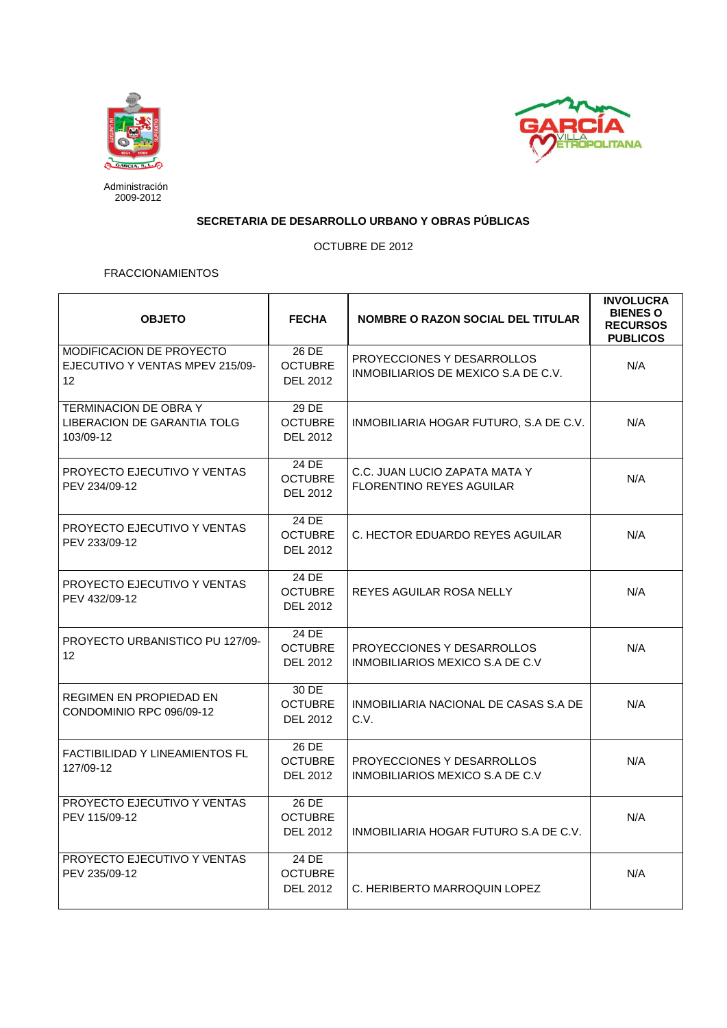



Administración 2009-2012

## **SECRETARIA DE DESARROLLO URBANO Y OBRAS PÚBLICAS**

OCTUBRE DE 2012

## FRACCIONAMIENTOS

| <b>OBJETO</b>                                                                  | <b>FECHA</b>                               | <b>NOMBRE O RAZON SOCIAL DEL TITULAR</b>                          | <b>INVOLUCRA</b><br><b>BIENES O</b><br><b>RECURSOS</b><br><b>PUBLICOS</b> |
|--------------------------------------------------------------------------------|--------------------------------------------|-------------------------------------------------------------------|---------------------------------------------------------------------------|
| MODIFICACION DE PROYECTO<br>EJECUTIVO Y VENTAS MPEV 215/09-<br>12 <sup>°</sup> | 26 DE<br><b>OCTUBRE</b><br>DEL 2012        | PROYECCIONES Y DESARROLLOS<br>INMOBILIARIOS DE MEXICO S.A DE C.V. | N/A                                                                       |
| <b>TERMINACION DE OBRA Y</b><br>LIBERACION DE GARANTIA TOLG<br>103/09-12       | 29 DE<br><b>OCTUBRE</b><br><b>DEL 2012</b> | INMOBILIARIA HOGAR FUTURO, S.A DE C.V.                            | N/A                                                                       |
| PROYECTO EJECUTIVO Y VENTAS<br>PEV 234/09-12                                   | 24 DE<br><b>OCTUBRE</b><br>DEL 2012        | C.C. JUAN LUCIO ZAPATA MATA Y<br><b>FLORENTINO REYES AGUILAR</b>  | N/A                                                                       |
| PROYECTO EJECUTIVO Y VENTAS<br>PEV 233/09-12                                   | 24 DE<br><b>OCTUBRE</b><br><b>DEL 2012</b> | C. HECTOR EDUARDO REYES AGUILAR                                   | N/A                                                                       |
| PROYECTO EJECUTIVO Y VENTAS<br>PEV 432/09-12                                   | 24 DE<br><b>OCTUBRE</b><br><b>DEL 2012</b> | REYES AGUILAR ROSA NELLY                                          | N/A                                                                       |
| PROYECTO URBANISTICO PU 127/09-<br>12 <sup>°</sup>                             | 24 DE<br><b>OCTUBRE</b><br>DEL 2012        | PROYECCIONES Y DESARROLLOS<br>INMOBILIARIOS MEXICO S.A DE C.V     | N/A                                                                       |
| <b>REGIMEN EN PROPIEDAD EN</b><br>CONDOMINIO RPC 096/09-12                     | 30 DE<br><b>OCTUBRE</b><br><b>DEL 2012</b> | INMOBILIARIA NACIONAL DE CASAS S.A DE<br>C.V.                     | N/A                                                                       |
| <b>FACTIBILIDAD Y LINEAMIENTOS FL</b><br>127/09-12                             | 26 DE<br><b>OCTUBRE</b><br>DEL 2012        | PROYECCIONES Y DESARROLLOS<br>INMOBILIARIOS MEXICO S.A DE C.V.    | N/A                                                                       |
| PROYECTO EJECUTIVO Y VENTAS<br>PEV 115/09-12                                   | 26 DE<br><b>OCTUBRE</b><br>DEL 2012        | INMOBILIARIA HOGAR FUTURO S.A DE C.V.                             | N/A                                                                       |
| PROYECTO EJECUTIVO Y VENTAS<br>PEV 235/09-12                                   | 24 DE<br><b>OCTUBRE</b><br>DEL 2012        | C. HERIBERTO MARROQUIN LOPEZ                                      | N/A                                                                       |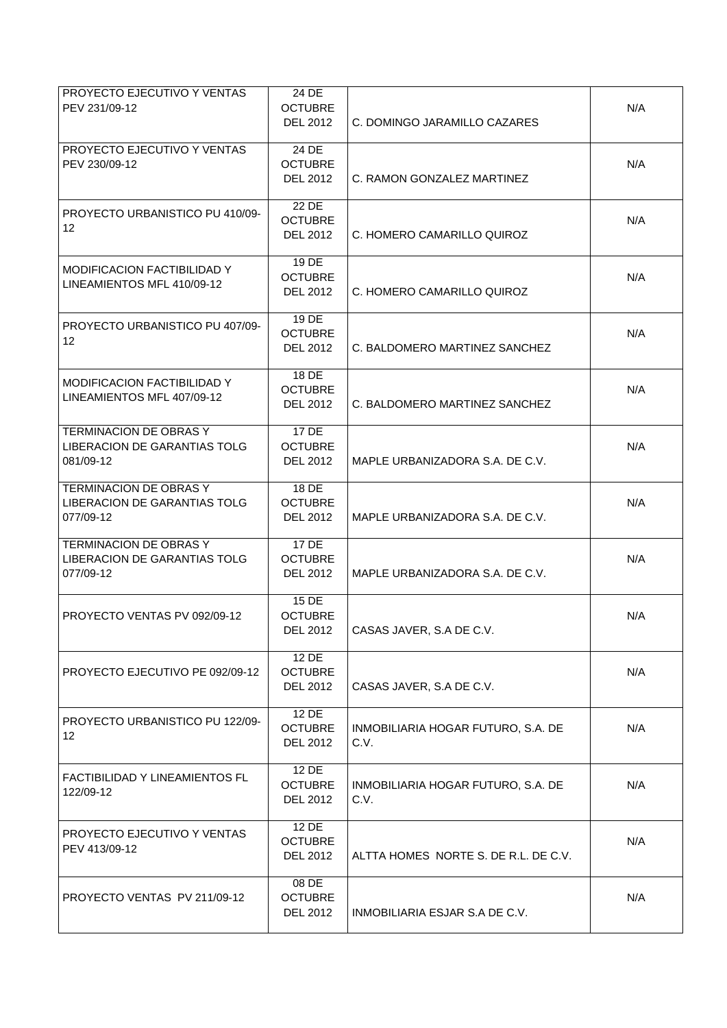| PROYECTO EJECUTIVO Y VENTAS<br>PEV 231/09-12                                      | 24 DE<br><b>OCTUBRE</b><br><b>DEL 2012</b>   | C. DOMINGO JARAMILLO CAZARES               | N/A |
|-----------------------------------------------------------------------------------|----------------------------------------------|--------------------------------------------|-----|
| PROYECTO EJECUTIVO Y VENTAS<br>PEV 230/09-12                                      | 24 DE<br><b>OCTUBRE</b><br><b>DEL 2012</b>   | C. RAMON GONZALEZ MARTINEZ                 | N/A |
| PROYECTO URBANISTICO PU 410/09-<br>12                                             | 22 DE<br><b>OCTUBRE</b><br><b>DEL 2012</b>   | C. HOMERO CAMARILLO QUIROZ                 | N/A |
| <b>MODIFICACION FACTIBILIDAD Y</b><br>LINEAMIENTOS MFL 410/09-12                  | 19 DE<br><b>OCTUBRE</b><br><b>DEL 2012</b>   | C. HOMERO CAMARILLO QUIROZ                 | N/A |
| PROYECTO URBANISTICO PU 407/09-<br>12                                             | 19 DE<br><b>OCTUBRE</b><br>DEL 2012          | C. BALDOMERO MARTINEZ SANCHEZ              | N/A |
| MODIFICACION FACTIBILIDAD Y<br>LINEAMIENTOS MFL 407/09-12                         | 18 DE<br><b>OCTUBRE</b><br><b>DEL 2012</b>   | C. BALDOMERO MARTINEZ SANCHEZ              | N/A |
| <b>TERMINACION DE OBRAS Y</b><br><b>LIBERACION DE GARANTIAS TOLG</b><br>081/09-12 | 17 DE<br><b>OCTUBRE</b><br><b>DEL 2012</b>   | MAPLE URBANIZADORA S.A. DE C.V.            | N/A |
| <b>TERMINACION DE OBRAS Y</b><br>LIBERACION DE GARANTIAS TOLG<br>077/09-12        | 18 DE<br><b>OCTUBRE</b><br><b>DEL 2012</b>   | MAPLE URBANIZADORA S.A. DE C.V.            | N/A |
| TERMINACION DE OBRAS Y<br>LIBERACION DE GARANTIAS TOLG<br>077/09-12               | 17 DE<br><b>OCTUBRE</b><br><b>DEL 2012</b>   | MAPLE URBANIZADORA S.A. DE C.V.            | N/A |
| PROYECTO VENTAS PV 092/09-12                                                      | 15 DE<br><b>OCTUBRE</b><br>DEL 2012          | CASAS JAVER, S.A DE C.V.                   | N/A |
| PROYECTO EJECUTIVO PE 092/09-12                                                   | $12$ DE<br><b>OCTUBRE</b><br><b>DEL 2012</b> | CASAS JAVER, S.A DE C.V.                   | N/A |
| PROYECTO URBANISTICO PU 122/09-<br>12                                             | 12 DE<br><b>OCTUBRE</b><br><b>DEL 2012</b>   | INMOBILIARIA HOGAR FUTURO, S.A. DE<br>C.V. | N/A |
| FACTIBILIDAD Y LINEAMIENTOS FL<br>122/09-12                                       | 12 DE<br><b>OCTUBRE</b><br><b>DEL 2012</b>   | INMOBILIARIA HOGAR FUTURO, S.A. DE<br>C.V. | N/A |
| PROYECTO EJECUTIVO Y VENTAS<br>PEV 413/09-12                                      | 12 DE<br><b>OCTUBRE</b><br><b>DEL 2012</b>   | ALTTA HOMES NORTE S. DE R.L. DE C.V.       | N/A |
| PROYECTO VENTAS PV 211/09-12                                                      | 08 DE<br><b>OCTUBRE</b><br>DEL 2012          | INMOBILIARIA ESJAR S.A DE C.V.             | N/A |